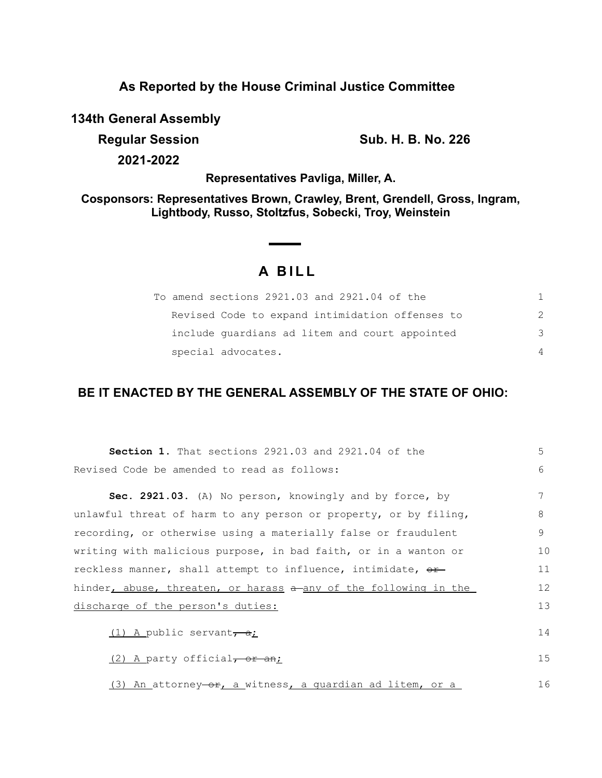## **As Reported by the House Criminal Justice Committee**

**134th General Assembly**

**Regular Session Sub. H. B. No. 226** 

**2021-2022**

**Representatives Pavliga, Miller, A.**

**Cosponsors: Representatives Brown, Crawley, Brent, Grendell, Gross, Ingram, Lightbody, Russo, Stoltzfus, Sobecki, Troy, Weinstein**

# **A B I L L**

| To amend sections 2921.03 and 2921.04 of the    |               |
|-------------------------------------------------|---------------|
| Revised Code to expand intimidation offenses to | $\mathcal{P}$ |
| include quardians ad litem and court appointed  | -२            |
| special advocates.                              | $\Delta$      |

## **BE IT ENACTED BY THE GENERAL ASSEMBLY OF THE STATE OF OHIO:**

| <b>Section 1.</b> That sections 2921.03 and 2921.04 of the       | 5  |
|------------------------------------------------------------------|----|
| Revised Code be amended to read as follows:                      | 6  |
| Sec. 2921.03. (A) No person, knowingly and by force, by          | 7  |
| unlawful threat of harm to any person or property, or by filing, | 8  |
| recording, or otherwise using a materially false or fraudulent   | 9  |
| writing with malicious purpose, in bad faith, or in a wanton or  | 10 |
| reckless manner, shall attempt to influence, intimidate, or      | 11 |
| hinder, abuse, threaten, or harass a any of the following in the | 12 |
| discharge of the person's duties:                                | 13 |
| (1) A public servant, $a$ ;                                      | 14 |
| $(2)$ A party official, or an;                                   | 15 |
| (3) An attorney-or, a witness, a quardian ad litem, or a         | 16 |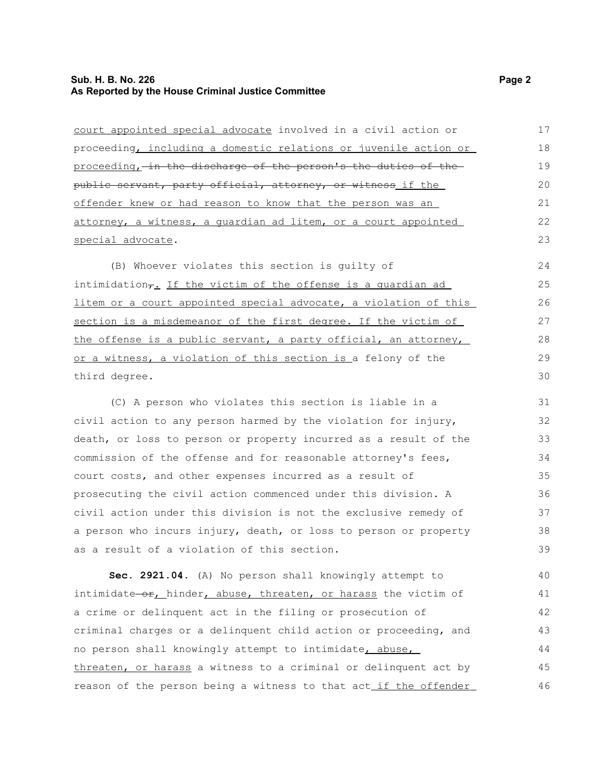### **Sub. H. B. No. 226** Page 2 **As Reported by the House Criminal Justice Committee**

| court appointed special advocate involved in a civil action or            | 17 |
|---------------------------------------------------------------------------|----|
| proceeding, including a domestic relations or juvenile action or          | 18 |
| proceeding, in the discharge of the person's the duties of the            | 19 |
| public servant, party official, attorney, or witness if the               | 20 |
| offender knew or had reason to know that the person was an                | 21 |
| attorney, a witness, a quardian ad litem, or a court appointed            | 22 |
| special advocate.                                                         | 23 |
| (B) Whoever violates this section is guilty of                            | 24 |
| intimidation <sub>7</sub> . If the victim of the offense is a quardian ad | 25 |
| litem or a court appointed special advocate, a violation of this          | 26 |
| section is a misdemeanor of the first degree. If the victim of            | 27 |
| the offense is a public servant, a party official, an attorney,           | 28 |
| or a witness, a violation of this section is a felony of the              | 29 |
| third degree.                                                             | 30 |
| (C) A person who violates this section is liable in a                     | 31 |
| civil action to any person harmed by the violation for injury,            | 32 |
| death, or loss to person or property incurred as a result of the          | 33 |
| commission of the offense and for reasonable attorney's fees,             | 34 |
| court costs, and other expenses incurred as a result of                   | 35 |
| prosecuting the civil action commenced under this division. A             | 36 |
| civil action under this division is not the exclusive remedy of           | 37 |
| a person who incurs injury, death, or loss to person or property          | 38 |
| as a result of a violation of this section.                               | 39 |
| Sec. 2921.04. (A) No person shall knowingly attempt to                    | 40 |
| intimidate-or, hinder, abuse, threaten, or harass the victim of           | 41 |
| a crime or delinquent act in the filing or prosecution of                 | 42 |
| criminal charges or a delinquent child action or proceeding, and          | 43 |
| no person shall knowingly attempt to intimidate, abuse,                   | 44 |
| threaten, or harass a witness to a criminal or delinquent act by          | 45 |
| reason of the person being a witness to that act_if the offender          | 46 |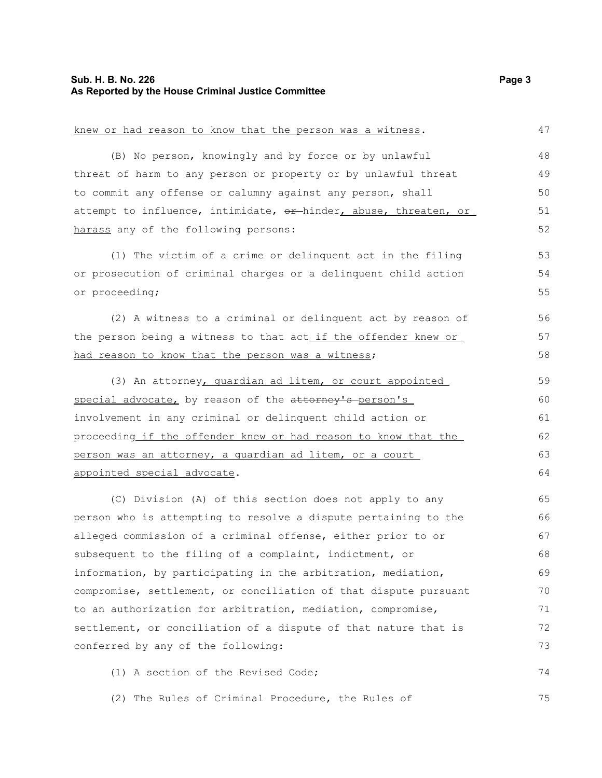#### **Sub. H. B. No. 226 Page 3 As Reported by the House Criminal Justice Committee**

#### knew or had reason to know that the person was a witness. (B) No person, knowingly and by force or by unlawful threat of harm to any person or property or by unlawful threat to commit any offense or calumny against any person, shall attempt to influence, intimidate, or hinder, abuse, threaten, or harass any of the following persons: (1) The victim of a crime or delinquent act in the filing or prosecution of criminal charges or a delinquent child action or proceeding; (2) A witness to a criminal or delinquent act by reason of the person being a witness to that act if the offender knew or had reason to know that the person was a witness; (3) An attorney, guardian ad litem, or court appointed special advocate, by reason of the attorney's person's involvement in any criminal or delinquent child action or proceeding if the offender knew or had reason to know that the person was an attorney, a guardian ad litem, or a court appointed special advocate. (C) Division (A) of this section does not apply to any person who is attempting to resolve a dispute pertaining to the alleged commission of a criminal offense, either prior to or subsequent to the filing of a complaint, indictment, or information, by participating in the arbitration, mediation, compromise, settlement, or conciliation of that dispute pursuant to an authorization for arbitration, mediation, compromise, settlement, or conciliation of a dispute of that nature that is conferred by any of the following: (1) A section of the Revised Code; (2) The Rules of Criminal Procedure, the Rules of 47 48 49 50 51 52 53 54 55 56 57 58 59 60 61 62 63 64 65 66 67 68 69 70 71 72 73 74 75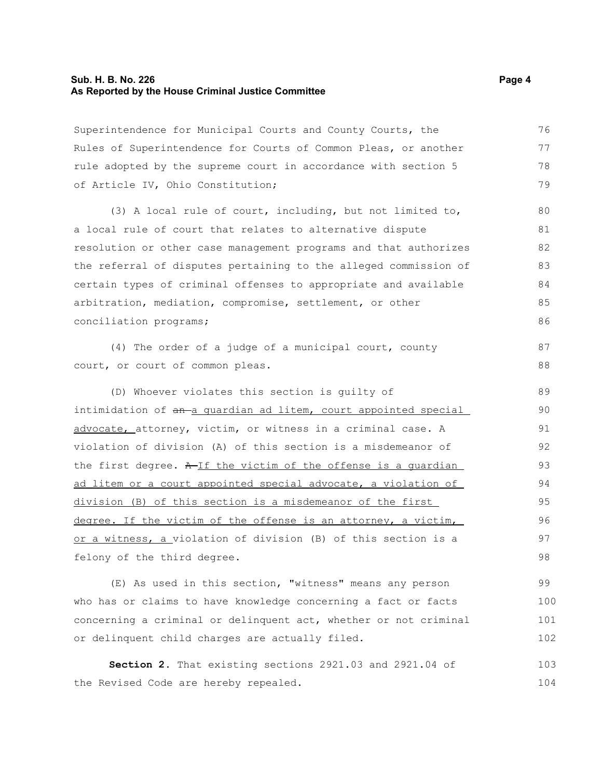#### **Sub. H. B. No. 226 Page 4 As Reported by the House Criminal Justice Committee**

Superintendence for Municipal Courts and County Courts, the Rules of Superintendence for Courts of Common Pleas, or another rule adopted by the supreme court in accordance with section 5 of Article IV, Ohio Constitution; 76 77 78 79

(3) A local rule of court, including, but not limited to, a local rule of court that relates to alternative dispute resolution or other case management programs and that authorizes the referral of disputes pertaining to the alleged commission of certain types of criminal offenses to appropriate and available arbitration, mediation, compromise, settlement, or other conciliation programs;

(4) The order of a judge of a municipal court, county court, or court of common pleas.

(D) Whoever violates this section is guilty of intimidation of an a quardian ad litem, court appointed special advocate, attorney, victim, or witness in a criminal case. A violation of division (A) of this section is a misdemeanor of the first degree.  $A$ -If the victim of the offense is a quardian ad litem or a court appointed special advocate, a violation of division (B) of this section is a misdemeanor of the first degree. If the victim of the offense is an attorney, a victim, or a witness, a violation of division (B) of this section is a felony of the third degree. 89 90 91 92 93 94 95 96 97 98

(E) As used in this section, "witness" means any person who has or claims to have knowledge concerning a fact or facts concerning a criminal or delinquent act, whether or not criminal or delinquent child charges are actually filed. 99 100 101 102

**Section 2.** That existing sections 2921.03 and 2921.04 of the Revised Code are hereby repealed. 103 104

87 88